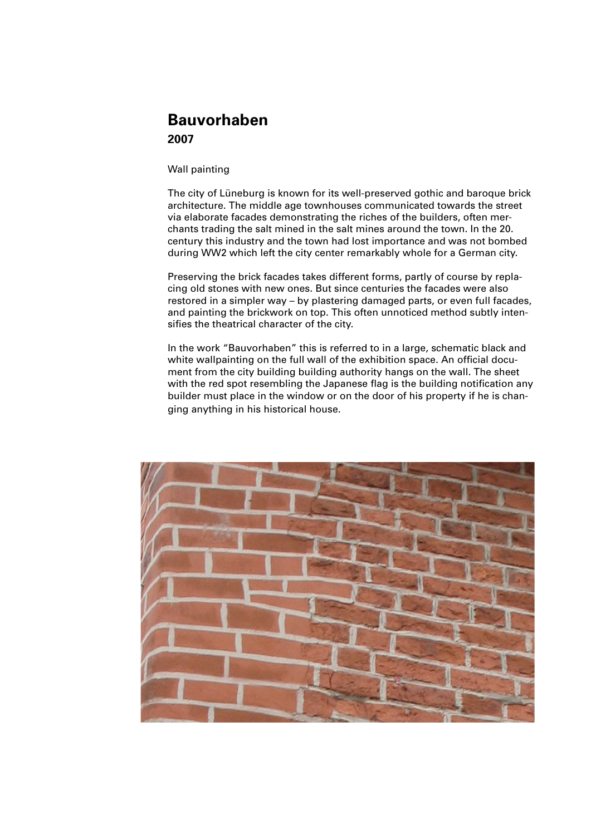## **Bauvorhaben 2007**

Wall painting

The city of Lüneburg is known for its well-preserved gothic and baroque brick architecture. The middle age townhouses communicated towards the street via elaborate facades demonstrating the riches of the builders, often merchants trading the salt mined in the salt mines around the town. In the 20. century this industry and the town had lost importance and was not bombed during WW2 which left the city center remarkably whole for a German city.

Preserving the brick facades takes different forms, partly of course by replacing old stones with new ones. But since centuries the facades were also restored in a simpler way – by plastering damaged parts, or even full facades, and painting the brickwork on top. This often unnoticed method subtly intensifies the theatrical character of the city.

In the work "Bauvorhaben" this is referred to in a large, schematic black and white wallpainting on the full wall of the exhibition space. An official document from the city building building authority hangs on the wall. The sheet with the red spot resembling the Japanese flag is the building notification any builder must place in the window or on the door of his property if he is changing anything in his historical house.

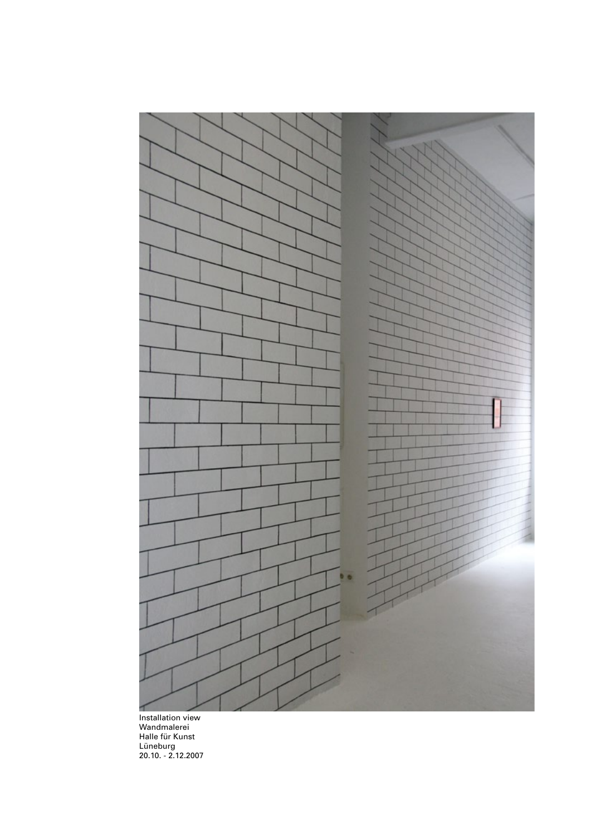

Installation view Wandmalerei Halle für Kunst Lüneburg 20.10. - 2.12.2007